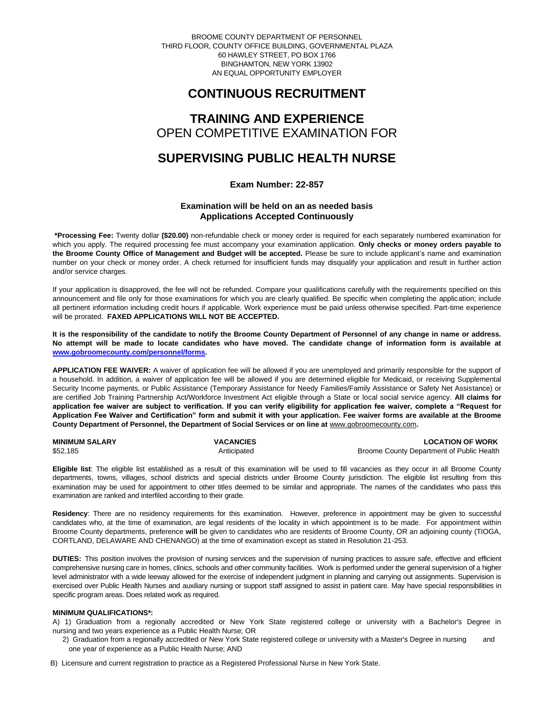BROOME COUNTY DEPARTMENT OF PERSONNEL THIRD FLOOR, COUNTY OFFICE BUILDING, GOVERNMENTAL PLAZA 60 HAWLEY STREET, PO BOX 1766 BINGHAMTON, NEW YORK 13902 AN EQUAL OPPORTUNITY EMPLOYER

# **CONTINUOUS RECRUITMENT**

## **TRAINING AND EXPERIENCE** OPEN COMPETITIVE EXAMINATION FOR

# **SUPERVISING PUBLIC HEALTH NURSE**

## **Exam Number: 22-857**

## **Examination will be held on an as needed basis Applications Accepted Continuously**

**\*Processing Fee:** Twenty dollar **(\$20.00)** non-refundable check or money order is required for each separately numbered examination for which you apply. The required processing fee must accompany your examination application. **Only checks or money orders payable to the Broome County Office of Management and Budget will be accepted.** Please be sure to include applicant's name and examination number on your check or money order. A check returned for insufficient funds may disqualify your application and result in further action and/or service charges.

If your application is disapproved, the fee will not be refunded. Compare your qualifications carefully with the requirements specified on this announcement and file only for those examinations for which you are clearly qualified. Be specific when completing the application; include all pertinent information including credit hours if applicable. Work experience must be paid unless otherwise specified. Part-time experience will be prorated. **FAXED APPLICATIONS WILL NOT BE ACCEPTED.** 

**It is the responsibility of the candidate to notify the Broome County Department of Personnel of any change in name or address. No attempt will be made to locate candidates who have moved. The candidate change of information form is available at [www.gobroomecounty.com/personnel/forms.](http://www.gobroomecounty.com/personnel/forms)**

**APPLICATION FEE WAIVER:** A waiver of application fee will be allowed if you are unemployed and primarily responsible for the support of a household. In addition, a waiver of application fee will be allowed if you are determined eligible for Medicaid, or receiving Supplemental Security Income payments, or Public Assistance (Temporary Assistance for Needy Families/Family Assistance or Safety Net Assistance) or are certified Job Training Partnership Act/Workforce Investment Act eligible through a State or local social service agency. **All claims for application fee waiver are subject to verification. If you can verify eligibility for application fee waiver, complete a "Request for Application Fee Waiver and Certification" form and submit it with your application. Fee waiver forms are available at the Broome**  County Department of Personnel, the Department of Social Services or on line at **www.gobroomecounty.com**.

| <b>MINIMUM SALARY</b> | <b>VACANCIES</b> | <b>LOCATION OF WORK</b>                   |
|-----------------------|------------------|-------------------------------------------|
| \$52,185              | Anticipated      | Broome County Department of Public Health |

**Eligible list**: The eligible list established as a result of this examination will be used to fill vacancies as they occur in all Broome County departments, towns, villages, school districts and special districts under Broome County jurisdiction. The eligible list resulting from this examination may be used for appointment to other titles deemed to be similar and appropriate. The names of the candidates who pass this examination are ranked and interfiled according to their grade.

**Residency**: There are no residency requirements for this examination. However, preference in appointment may be given to successful candidates who, at the time of examination, are legal residents of the locality in which appointment is to be made. For appointment within Broome County departments, preference **will** be given to candidates who are residents of Broome County, OR an adjoining county (TIOGA, CORTLAND, DELAWARE AND CHENANGO) at the time of examination except as stated in Resolution 21-253.

**DUTIES:** This position involves the provision of nursing services and the supervision of nursing practices to assure safe, effective and efficient comprehensive nursing care in homes, clinics, schools and other community facilities. Work is performed under the general supervision of a higher level administrator with a wide leeway allowed for the exercise of independent judgment in planning and carrying out assignments. Supervision is exercised over Public Health Nurses and auxiliary nursing or support staff assigned to assist in patient care. May have special responsibilities in specific program areas. Does related work as required.

### **MINIMUM QUALIFICATIONS\*:**

A) 1) Graduation from a regionally accredited or New York State registered college or university with a Bachelor's Degree in nursing and two years experience as a Public Health Nurse; OR

- 2) Graduation from a regionally accredited or New York State registered college or university with a Master's Degree in nursing and one year of experience as a Public Health Nurse; AND
- B) Licensure and current registration to practice as a Registered Professional Nurse in New York State.